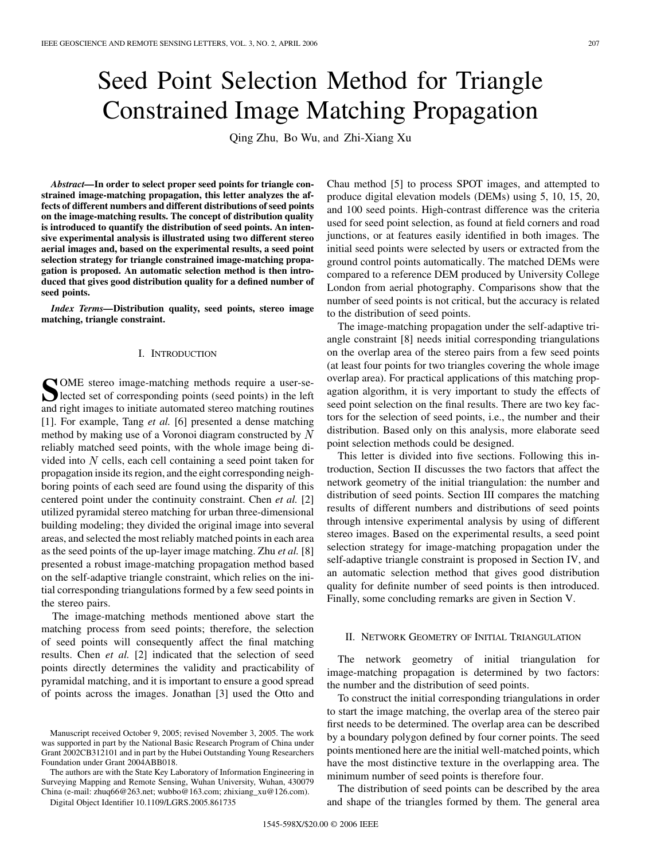# Seed Point Selection Method for Triangle Constrained Image Matching Propagation

Qing Zhu, Bo Wu, and Zhi-Xiang Xu

*Abstract—***In order to select proper seed points for triangle constrained image-matching propagation, this letter analyzes the affects of different numbers and different distributions of seed points on the image-matching results. The concept of distribution quality is introduced to quantify the distribution of seed points. An intensive experimental analysis is illustrated using two different stereo aerial images and, based on the experimental results, a seed point selection strategy for triangle constrained image-matching propagation is proposed. An automatic selection method is then introduced that gives good distribution quality for a defined number of seed points.**

*Index Terms—***Distribution quality, seed points, stereo image matching, triangle constraint.**

## I. INTRODUCTION

**S**OME stereo image-matching methods require a user-se-<br>lected set of corresponding points (seed points) in the left<br>and right images to initiate outcometed stereo metabing routings and right images to initiate automated stereo matching routines [\[1\].](#page-4-0) For example, Tang *et al.* [\[6\]](#page-4-0) presented a dense matching method by making use of a Voronoi diagram constructed by  $N$ reliably matched seed points, with the whole image being divided into  $N$  cells, each cell containing a seed point taken for propagation inside its region, and the eight corresponding neighboring points of each seed are found using the disparity of this centered point under the continuity constraint. Chen *et al.* [\[2\]](#page-4-0) utilized pyramidal stereo matching for urban three-dimensional building modeling; they divided the original image into several areas, and selected the most reliably matched points in each area as the seed points of the up-layer image matching. Zhu *et al.* [\[8\]](#page-4-0) presented a robust image-matching propagation method based on the self-adaptive triangle constraint, which relies on the initial corresponding triangulations formed by a few seed points in the stereo pairs.

The image-matching methods mentioned above start the matching process from seed points; therefore, the selection of seed points will consequently affect the final matching results. Chen *et al.* [\[2\]](#page-4-0) indicated that the selection of seed points directly determines the validity and practicability of pyramidal matching, and it is important to ensure a good spread of points across the images. Jonathan [\[3\]](#page-4-0) used the Otto and

The authors are with the State Key Laboratory of Information Engineering in Surveying Mapping and Remote Sensing, Wuhan University, Wuhan, 430079 China (e-mail: zhuq66@263.net; wubbo@163.com; zhixiang\_xu@126.com).

Digital Object Identifier 10.1109/LGRS.2005.861735

Chau method [\[5\]](#page-4-0) to process SPOT images, and attempted to produce digital elevation models (DEMs) using 5, 10, 15, 20, and 100 seed points. High-contrast difference was the criteria used for seed point selection, as found at field corners and road junctions, or at features easily identified in both images. The initial seed points were selected by users or extracted from the ground control points automatically. The matched DEMs were compared to a reference DEM produced by University College London from aerial photography. Comparisons show that the number of seed points is not critical, but the accuracy is related to the distribution of seed points.

The image-matching propagation under the self-adaptive triangle constraint [\[8\]](#page-4-0) needs initial corresponding triangulations on the overlap area of the stereo pairs from a few seed points (at least four points for two triangles covering the whole image overlap area). For practical applications of this matching propagation algorithm, it is very important to study the effects of seed point selection on the final results. There are two key factors for the selection of seed points, i.e., the number and their distribution. Based only on this analysis, more elaborate seed point selection methods could be designed.

This letter is divided into five sections. Following this introduction, Section II discusses the two factors that affect the network geometry of the initial triangulation: the number and distribution of seed points. [Section III](#page-1-0) compares the matching results of different numbers and distributions of seed points through intensive experimental analysis by using of different stereo images. Based on the experimental results, a seed point selection strategy for image-matching propagation under the self-adaptive triangle constraint is proposed in [Section IV,](#page-2-0) and an automatic selection method that gives good distribution quality for definite number of seed points is then introduced. Finally, some concluding remarks are given in [Section V.](#page-3-0)

## II. NETWORK GEOMETRY OF INITIAL TRIANGULATION

The network geometry of initial triangulation for image-matching propagation is determined by two factors: the number and the distribution of seed points.

To construct the initial corresponding triangulations in order to start the image matching, the overlap area of the stereo pair first needs to be determined. The overlap area can be described by a boundary polygon defined by four corner points. The seed points mentioned here are the initial well-matched points, which have the most distinctive texture in the overlapping area. The minimum number of seed points is therefore four.

The distribution of seed points can be described by the area and shape of the triangles formed by them. The general area

Manuscript received October 9, 2005; revised November 3, 2005. The work was supported in part by the National Basic Research Program of China under Grant 2002CB312101 and in part by the Hubei Outstanding Young Researchers Foundation under Grant 2004ABB018.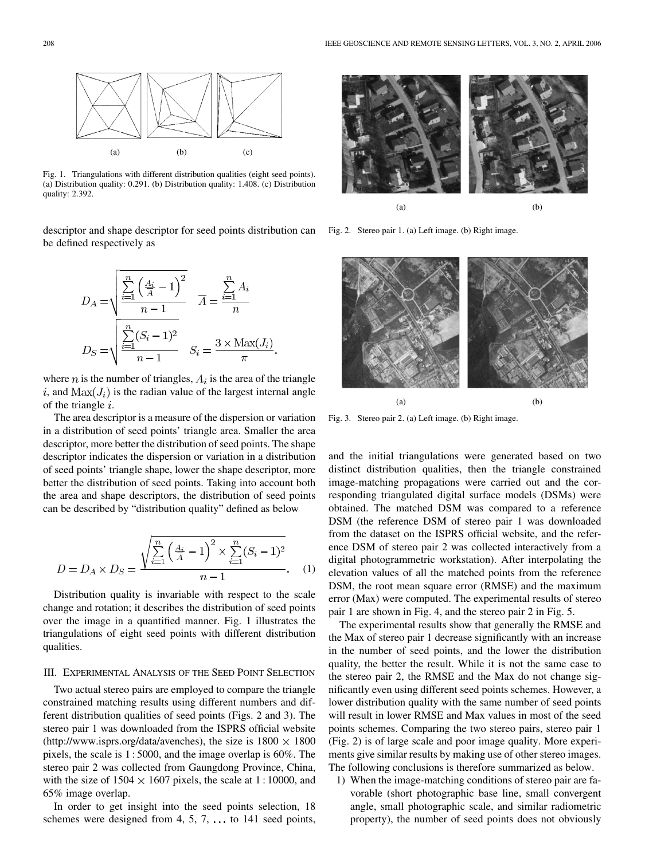<span id="page-1-0"></span>

Fig. 1. Triangulations with different distribution qualities (eight seed points). (a) Distribution quality: 0.291. (b) Distribution quality: 1.408. (c) Distribution quality: 2.392.

descriptor and shape descriptor for seed points distribution can be defined respectively as

$$
D_A = \sqrt{\frac{\sum_{i=1}^{n} \left(\frac{A_i}{A} - 1\right)^2}{n - 1}} \quad \overline{A} = \frac{\sum_{i=1}^{n} A_i}{n}
$$

$$
D_S = \sqrt{\frac{\sum_{i=1}^{n} (S_i - 1)^2}{n - 1}} \quad S_i = \frac{3 \times \text{Max}(J_i)}{\pi}.
$$

where *n* is the number of triangles,  $A_i$  is the area of the triangle i, and  $Max(J<sub>i</sub>)$  is the radian value of the largest internal angle of the triangle  $i$ .

The area descriptor is a measure of the dispersion or variation in a distribution of seed points' triangle area. Smaller the area descriptor, more better the distribution of seed points. The shape descriptor indicates the dispersion or variation in a distribution of seed points' triangle shape, lower the shape descriptor, more better the distribution of seed points. Taking into account both the area and shape descriptors, the distribution of seed points can be described by "distribution quality" defined as below

$$
D = D_A \times D_S = \frac{\sqrt{\sum_{i=1}^{n} \left(\frac{A_i}{A} - 1\right)^2 \times \sum_{i=1}^{n} (S_i - 1)^2}}{n - 1}.
$$
 (1)

Distribution quality is invariable with respect to the scale change and rotation; it describes the distribution of seed points over the image in a quantified manner. Fig. 1 illustrates the triangulations of eight seed points with different distribution qualities.

#### III. EXPERIMENTAL ANALYSIS OF THE SEED POINT SELECTION

Two actual stereo pairs are employed to compare the triangle constrained matching results using different numbers and different distribution qualities of seed points (Figs. 2 and 3). The stereo pair 1 was downloaded from the ISPRS official website (http://www.isprs.org/data/avenches), the size is  $1800 \times 1800$ pixels, the scale is 1 : 5000, and the image overlap is 60%. The stereo pair 2 was collected from Gaungdong Province, China, with the size of  $1504 \times 1607$  pixels, the scale at 1 : 10000, and 65% image overlap.

In order to get insight into the seed points selection, 18 schemes were designed from 4, 5, 7,  $\dots$  to 141 seed points,



 $(a)$  (b)

Fig. 2. Stereo pair 1. (a) Left image. (b) Right image.



Fig. 3. Stereo pair 2. (a) Left image. (b) Right image.

and the initial triangulations were generated based on two distinct distribution qualities, then the triangle constrained image-matching propagations were carried out and the corresponding triangulated digital surface models (DSMs) were obtained. The matched DSM was compared to a reference DSM (the reference DSM of stereo pair 1 was downloaded from the dataset on the ISPRS official website, and the reference DSM of stereo pair 2 was collected interactively from a digital photogrammetric workstation). After interpolating the elevation values of all the matched points from the reference DSM, the root mean square error (RMSE) and the maximum error (Max) were computed. The experimental results of stereo pair 1 are shown in [Fig. 4,](#page-2-0) and the stereo pair 2 in [Fig. 5](#page-2-0).

The experimental results show that generally the RMSE and the Max of stereo pair 1 decrease significantly with an increase in the number of seed points, and the lower the distribution quality, the better the result. While it is not the same case to the stereo pair 2, the RMSE and the Max do not change significantly even using different seed points schemes. However, a lower distribution quality with the same number of seed points will result in lower RMSE and Max values in most of the seed points schemes. Comparing the two stereo pairs, stereo pair 1 (Fig. 2) is of large scale and poor image quality. More experiments give similar results by making use of other stereo images. The following conclusions is therefore summarized as below.

1) When the image-matching conditions of stereo pair are favorable (short photographic base line, small convergent angle, small photographic scale, and similar radiometric property), the number of seed points does not obviously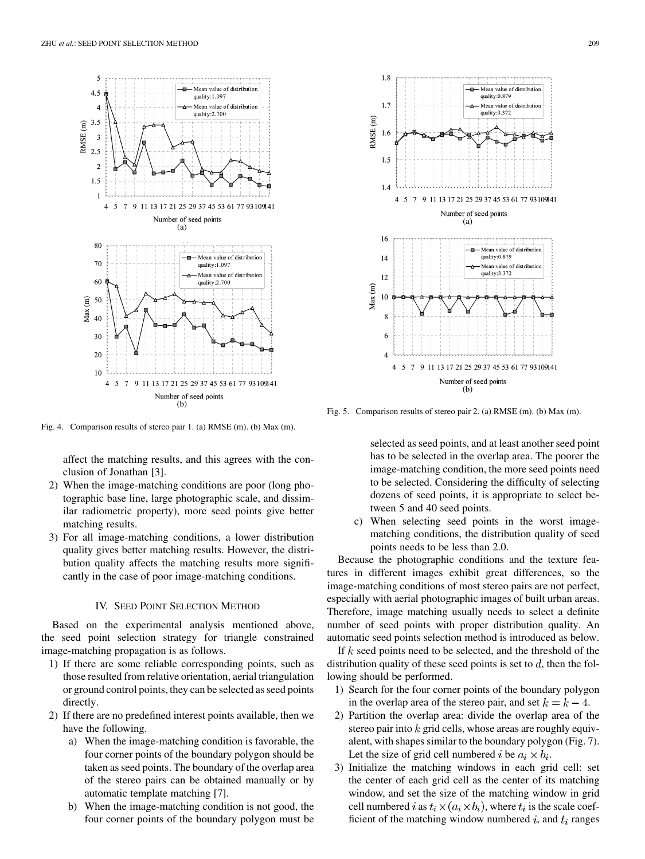<span id="page-2-0"></span>

Fig. 4. Comparison results of stereo pair 1. (a) RMSE (m). (b) Max (m).

affect the matching results, and this agrees with the conclusion of Jonathan [\[3\].](#page-4-0)

- 2) When the image-matching conditions are poor (long photographic base line, large photographic scale, and dissimilar radiometric property), more seed points give better matching results.
- 3) For all image-matching conditions, a lower distribution quality gives better matching results. However, the distribution quality affects the matching results more significantly in the case of poor image-matching conditions.

#### IV. SEED POINT SELECTION METHOD

Based on the experimental analysis mentioned above, the seed point selection strategy for triangle constrained image-matching propagation is as follows.

- 1) If there are some reliable corresponding points, such as those resulted from relative orientation, aerial triangulation or ground control points, they can be selected as seed points directly.
- 2) If there are no predefined interest points available, then we have the following.
	- a) When the image-matching condition is favorable, the four corner points of the boundary polygon should be taken as seed points. The boundary of the overlap area of the stereo pairs can be obtained manually or by automatic template matching [\[7\]](#page-4-0).
	- b) When the image-matching condition is not good, the four corner points of the boundary polygon must be



Fig. 5. Comparison results of stereo pair 2. (a) RMSE (m). (b) Max (m).

selected as seed points, and at least another seed point has to be selected in the overlap area. The poorer the image-matching condition, the more seed points need to be selected. Considering the difficulty of selecting dozens of seed points, it is appropriate to select between 5 and 40 seed points.

c) When selecting seed points in the worst imagematching conditions, the distribution quality of seed points needs to be less than 2.0.

Because the photographic conditions and the texture features in different images exhibit great differences, so the image-matching conditions of most stereo pairs are not perfect, especially with aerial photographic images of built urban areas. Therefore, image matching usually needs to select a definite number of seed points with proper distribution quality. An automatic seed points selection method is introduced as below.

If  $k$  seed points need to be selected, and the threshold of the distribution quality of these seed points is set to  $d$ , then the following should be performed.

- 1) Search for the four corner points of the boundary polygon in the overlap area of the stereo pair, and set  $k = k - 4$ .
- 2) Partition the overlap area: divide the overlap area of the stereo pair into  $k$  grid cells, whose areas are roughly equivalent, with shapes similar to the boundary polygon ([Fig. 7](#page-3-0)). Let the size of grid cell numbered i be  $a_i \times b_i$ .
- 3) Initialize the matching windows in each grid cell: set the center of each grid cell as the center of its matching window, and set the size of the matching window in grid cell numbered i as  $t_i \times (a_i \times b_i)$ , where  $t_i$  is the scale coefficient of the matching window numbered  $i$ , and  $t_i$  ranges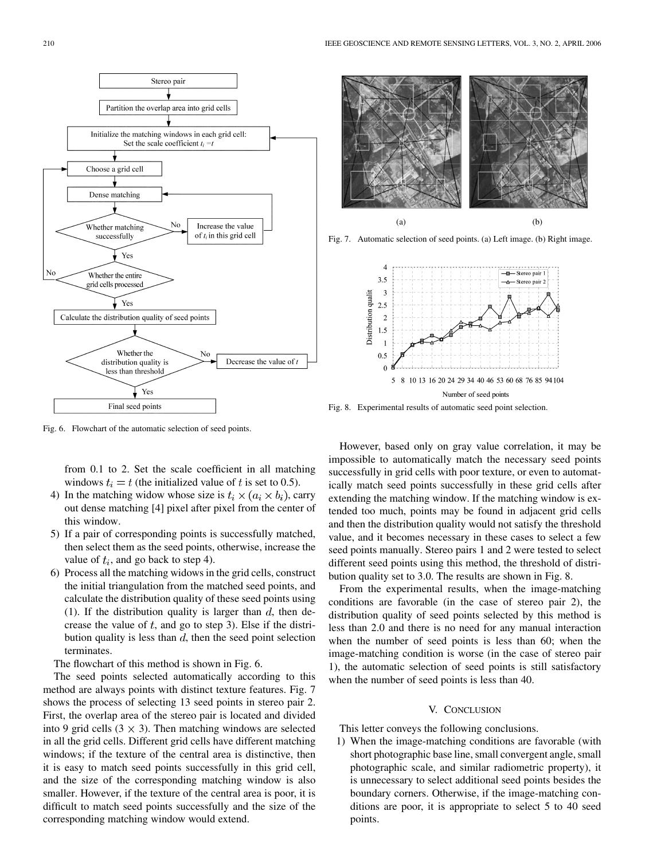<span id="page-3-0"></span>

Fig. 6. Flowchart of the automatic selection of seed points.

from 0.1 to 2. Set the scale coefficient in all matching windows  $t_i = t$  (the initialized value of t is set to 0.5).

- 4) In the matching widow whose size is  $t_i \times (a_i \times b_i)$ , carry out dense matching [\[4\]](#page-4-0) pixel after pixel from the center of this window.
- 5) If a pair of corresponding points is successfully matched, then select them as the seed points, otherwise, increase the value of  $t_i$ , and go back to step 4).
- 6) Process all the matching widows in the grid cells, construct the initial triangulation from the matched seed points, and calculate the distribution quality of these seed points using [\(1\)](#page-1-0). If the distribution quality is larger than  $d$ , then decrease the value of  $t$ , and go to step 3). Else if the distribution quality is less than  $d$ , then the seed point selection terminates.

The flowchart of this method is shown in Fig. 6.

The seed points selected automatically according to this method are always points with distinct texture features. Fig. 7 shows the process of selecting 13 seed points in stereo pair 2. First, the overlap area of the stereo pair is located and divided into 9 grid cells  $(3 \times 3)$ . Then matching windows are selected in all the grid cells. Different grid cells have different matching windows; if the texture of the central area is distinctive, then it is easy to match seed points successfully in this grid cell, and the size of the corresponding matching window is also smaller. However, if the texture of the central area is poor, it is difficult to match seed points successfully and the size of the corresponding matching window would extend.



Fig. 7. Automatic selection of seed points. (a) Left image. (b) Right image.



Fig. 8. Experimental results of automatic seed point selection.

However, based only on gray value correlation, it may be impossible to automatically match the necessary seed points successfully in grid cells with poor texture, or even to automatically match seed points successfully in these grid cells after extending the matching window. If the matching window is extended too much, points may be found in adjacent grid cells and then the distribution quality would not satisfy the threshold value, and it becomes necessary in these cases to select a few seed points manually. Stereo pairs 1 and 2 were tested to select different seed points using this method, the threshold of distribution quality set to 3.0. The results are shown in Fig. 8.

From the experimental results, when the image-matching conditions are favorable (in the case of stereo pair 2), the distribution quality of seed points selected by this method is less than 2.0 and there is no need for any manual interaction when the number of seed points is less than 60; when the image-matching condition is worse (in the case of stereo pair 1), the automatic selection of seed points is still satisfactory when the number of seed points is less than 40.

# V. CONCLUSION

This letter conveys the following conclusions.

1) When the image-matching conditions are favorable (with short photographic base line, small convergent angle, small photographic scale, and similar radiometric property), it is unnecessary to select additional seed points besides the boundary corners. Otherwise, if the image-matching conditions are poor, it is appropriate to select 5 to 40 seed points.